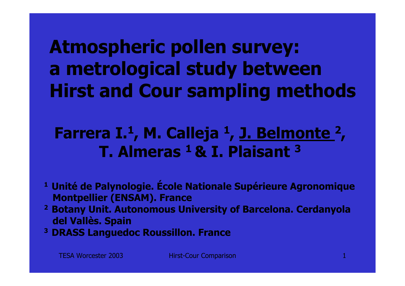**Atmospheric pollen survey: a metrological study between Hirst and Cour sampling methods**

# **Farrera I. 1, M. Calleja 1, J. Belmonte 2 , T. Almeras 1 & I. Plaisant 3**

- **1 Unité de Palynologie. École Nationale Supérieure Agronomique Montpellier (ENSAM). France**
- **2 Botany Unit. Autonomous University of Barcelona. Cerdanyola del Vallès. Spain**
- **3 DRASS Languedoc Roussillon. France**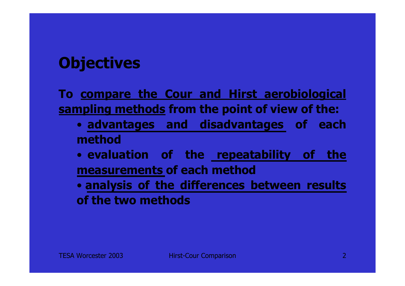# **Objectives**

**To compare the Cour and Hirst aerobiological sampling methods from the point of view of the:**

- **advantages and disadvantages of each method**
- **evaluation of the repeatability of the measurements of each method**

• **analysis of the differences between results of the two methods**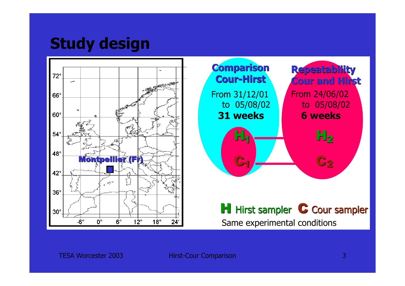# **Study design**

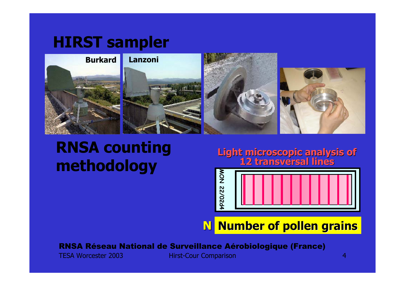# **HIRST sampler**



# **RNSA counting methodology**

**Light microscopic analysis of Light microscopic analysis of 12 transversal lines 12 transversal lines**



**N Number of pollen grains Number of pollen grains**

RNSA Réseau National de Surveillance Aérobiologique (France)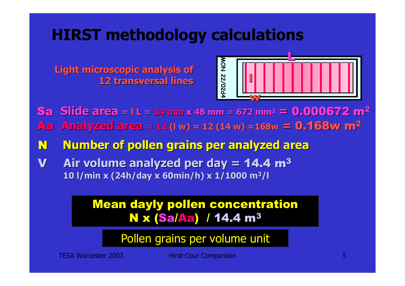# **HIRST methodology calculations**



**MON 22/02d4 Light microscopic analysis of Light microscopic analysis of 12 transversal lines 12 transversal lines**

Aa **Analyzed area Analyzed area = 12 (l w) = 12 (14 w) =168w <sup>=</sup>**0.168w m 0.168w m 2 Sa **Slide area = l L = 14 mm x 48 mm = 672 mm 2 =** 0.000672 m 0.000672 m<sup>2</sup>

N **Number of pollen grains per analyzed Number of pollen grains per analyzed area**

V **Air volume analyzed Air volume analyzed per day <sup>=</sup>**14.4 m 3 **10 l/min x (24h/ x (24h/day x 60min/h) x 1/1000 m 3/l**

### Mean dayly pollen concentration <mark>N x (Sa/Aa)</mark> / 14.4 m<sup>3</sup>

Pollen grains per volume unit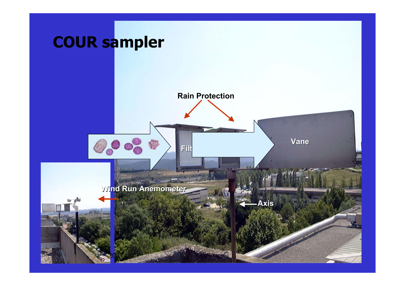# **COUR sampler**

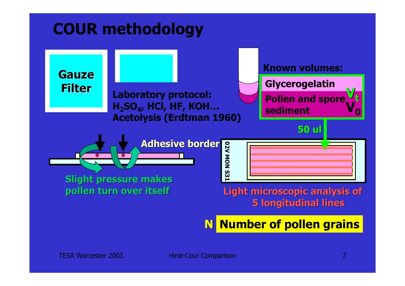# **COUR methodology**



**N Number of pollen grains**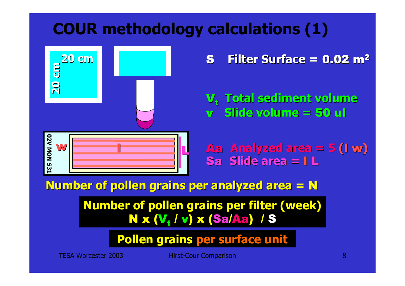# **COUR methodology calculations (1)**



S **Filter Surface Filter Surface =** 0.02 m 2

V t **Total sediment volume sediment volume** v **Slide volume =** 50 ul

**DZV MON S31 02V MON S31** L

 Aa **Analyzed area Analyzed area = 5 (**l w **)** Sa **Slide area =** l L

**Number of pollen grains per analyzed Number of pollen grains per analyzed area <sup>=</sup>** N

**Number of pollen grains per filter (week)** <mark>N x (V<sub>t</sub> / v) x (Sa/Aa) *|* S</mark>

**Pollen grains per surface unit**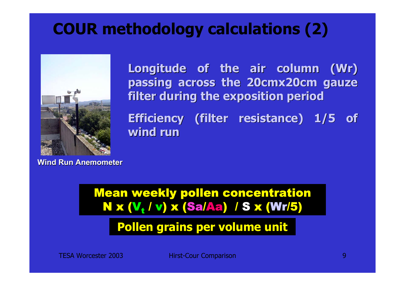# **COUR methodology calculations (2)**



**Longitude of the air column ( Longitude of the air column (Wr) passing across the 20cmx20cm gauze passing across the 20cmx20cm gauze filter during the exposition period filter during the exposition period**

**Efficiency (filter resistance) 1/5 of wind run wind run** 

**Wind Run Anemometer Wind Run Anemometer**

Mean weekly pollen concentration <mark>N x (V<sub>t</sub> / v) x (Sa/Aa) *|* S x (Wr/5)</mark>

**Pollen grains per volume unit**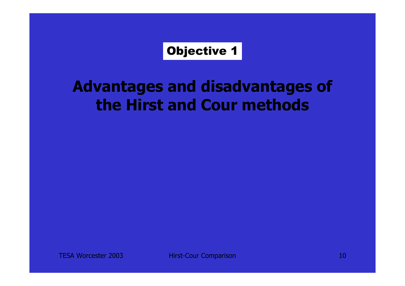### Objective 1

# **Advantages and disadvantages of the Hirst and Cour methods**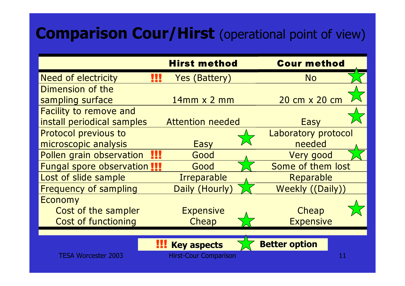# **Comparison Cour/Hirst** (operational point of view)

|                                     | <b>Hirst method</b>          | <b>Cour method</b>         |
|-------------------------------------|------------------------------|----------------------------|
| <b>Need of electricity</b><br>!!!   | <b>Yes (Battery)</b>         | <b>No</b>                  |
| Dimension of the                    |                              |                            |
| sampling surface                    | $14mm \times 2mm$            | 20 cm x 20 cm              |
| <b>Facility to remove and</b>       |                              |                            |
| install periodical samples          | <b>Attention needed</b>      | <b>Easy</b>                |
| Protocol previous to                |                              | <b>Laboratory protocol</b> |
| microscopic analysis                | <b>Easy</b>                  | needed                     |
| Ш<br>Pollen grain observation       | Good                         | Very good                  |
| <b>Fungal spore observation !!!</b> | Good                         | Some of them lost          |
| Lost of slide sample                | <b>Irreparable</b>           | Reparable                  |
| <b>Frequency of sampling</b>        | <b>Daily (Hourly</b>         | Weekly ((Daily))           |
| <b>Economy</b>                      |                              |                            |
| Cost of the sampler                 | <b>Expensive</b>             | Cheap                      |
| <b>Cost of functioning</b>          | Cheap                        | <b>Expensive</b>           |
|                                     |                              |                            |
|                                     | <b>Key aspects</b>           | <b>Better option</b>       |
| <b>TESA Worcester 2003</b>          | <b>Hirst-Cour Comparison</b> | 11                         |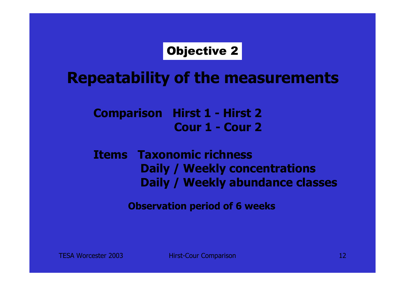## Objective 2

**Repeatability of the measurements**

**Comparison Hirst 1 - Hirst 2 Cour 1 - Cour 2**

### **Items Taxonomic richnessDaily / Weekly concentrations Daily / Weekly abundance classes**

**Observation period of 6 weeks**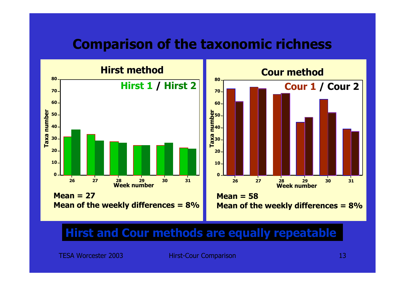## **Comparison of the taxonomic richness**



### **Hirst and Cour methods are equally repeatable**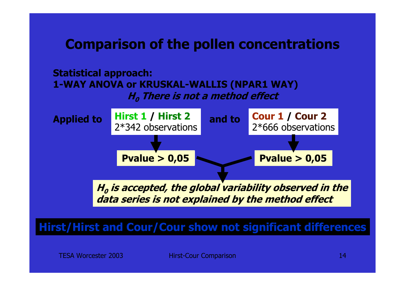## **Comparison of the pollen concentrations**

#### **Statistical approach: 1-WAY ANOVA or KRUSKAL-WALLIS (NPAR1 WAY) H0 There is not a method effect**



### **Hirst/Hirst and Cour/Cour show not significant differences**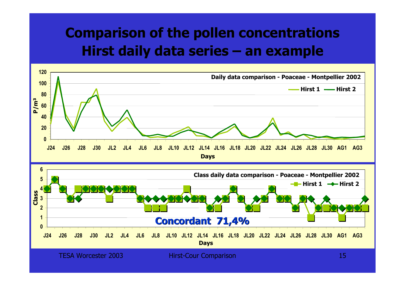## **Comparison of the pollen concentrations Hirst daily data series – an example**

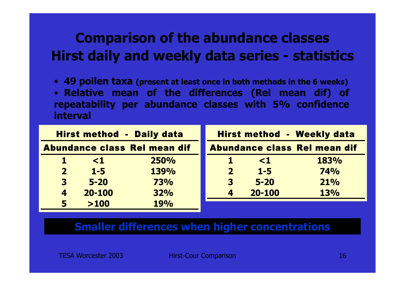## **Comparison of the abundance classes Hirst daily and weekly data series - statistics**

• **49 pollen taxa (present at least once in both methods in the 6 weeks)**

• **Relative mean of the differences (Rel mean dif) of repeatability per abundance classes with 5% confidence interval**

| <b>Hirst method - Daily data</b>    |          |             |                         | <b>Hirst method - Weekly data</b> |             |
|-------------------------------------|----------|-------------|-------------------------|-----------------------------------|-------------|
| <b>Abundance class Rel mean dif</b> |          |             |                         | Abundance class Rel mean dif      |             |
| 47                                  | $\leq 1$ | <b>250%</b> | Т.                      | $\leq 1$                          | <b>183%</b> |
| $\mathbf{2}$                        | $1 - 5$  | 139%        | $\overline{\mathbf{2}}$ | $1 - 5$                           | <b>74%</b>  |
| $\mathbf{3}$                        | $5 - 20$ | <b>73%</b>  | $\overline{\mathbf{3}}$ | $5 - 20$                          | 21%         |
| $\boldsymbol{4}$                    | 20-100   | 32%         | $\boldsymbol{4}$        | $20 - 100$                        | <b>13%</b>  |
| $\overline{\mathbf{5}}$             | >100     | <b>19%</b>  |                         |                                   |             |

#### **Smaller differences when higher concentrations**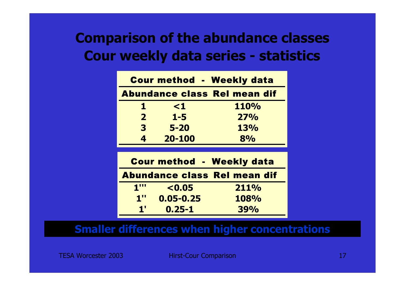## **Comparison of the abundance classes Cour weekly data series - statistics**

| <b>Cour method - Weekly data</b>    |            |            |  |  |
|-------------------------------------|------------|------------|--|--|
| <b>Abundance class Rel mean dif</b> |            |            |  |  |
| 1                                   | $\leq 1$   | 110%       |  |  |
| $\overline{2}$                      | $1 - 5$    | 27%        |  |  |
| 3                                   | $5 - 20$   | <b>13%</b> |  |  |
| 4                                   | $20 - 100$ | 8%         |  |  |

| <b>Cour method - Weekly data</b> |               |                              |  |  |
|----------------------------------|---------------|------------------------------|--|--|
|                                  |               | Abundance class Rel mean dif |  |  |
| $1^{\prime\prime\prime}$         | < 0.05        | 211%                         |  |  |
| $1^{\prime\prime}$               | $0.05 - 0.25$ | 108%                         |  |  |
| $\mathbf{1}^{\prime}$            | $0.25 - 1$    | <b>39%</b>                   |  |  |

### **Smaller differences when higher concentrations**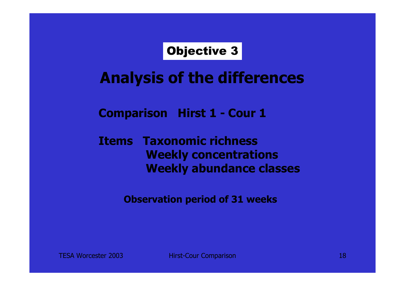Objective 3

# **Analysis of the differences**

### **Comparison Hirst 1 - Cour 1**

### **Items Taxonomic richnessWeekly concentrations Weekly abundance classes**

**Observation period of 31 weeks**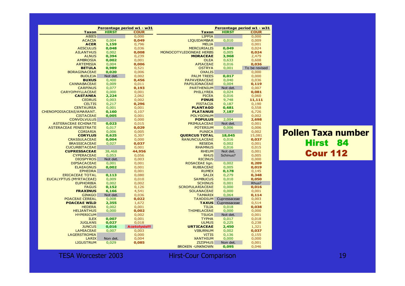#### **Pollen Taxa numbe**r Hirst 84 Cour 112

| Percentage period w1 - w31         |                | Percentage period w1 - w31 |                         |              |               |
|------------------------------------|----------------|----------------------------|-------------------------|--------------|---------------|
| <b>Taxon</b>                       | <b>HIRST</b>   | <b>COUR</b>                | <b>Taxon</b>            | <b>HIRST</b> | <b>COUR</b>   |
| <b>ABIES</b>                       |                | 0,000                      | <b>LIPPIA</b>           |              | 0,000         |
| <b>ACACIA</b>                      | 0,004          | 0,049                      | <b>LIQUIDAMBAR</b>      | 0,010        | 0,009         |
| <b>ACER</b>                        | 1,159          | 0,796                      | <b>MELIA</b>            |              | 0,001         |
| <b>AESCULUS</b>                    | 0,048          | 0,036                      | <b>MERCURIALIS</b>      | 0,049        | 0,024         |
| <b>AILANTHUS</b>                   | 0,002          | 0,008                      | MONOCOTYLEDONEAE HERBS  | 0,005        | 0,024         |
| <b>ALNUS</b>                       | 0,394          | 0,239                      | <b>MORACEAE</b>         | 3,968        | 2,479         |
| <b>AMBROSIA</b>                    | 0,002          | 0,001                      | <b>OLEA</b>             | 0,633        | 0,608         |
| <b>ARTEMISIA</b>                   | 0,004          | 0,006                      | <b>APIACEAE</b>         | 0,016        | 0,036         |
| <b>BETULA</b>                      | 0,989          | 0,521                      | <b>OSTRYA</b>           | 0,001        | To be revised |
| <b>BORAGINACEAE</b>                | 0,020          | 0,006                      | <b>OXALIS</b>           |              | 0,000         |
| <b>BUDLEJA</b>                     | Not det.       | 0,002                      | <b>PALM TREES</b>       | 0,017        | 0,000         |
|                                    |                |                            |                         |              |               |
| <b>BUXUS</b><br><b>CANNABACEAE</b> | 0,400<br>0,009 | 0,456                      | <b>PAPAVERACEAE</b>     | 0,040        | 0,036         |
|                                    |                | 0,011                      | <b>PAPILIONACEAE</b>    | 0,004        | 0,119         |
| <b>CARPINUS</b>                    | 0,077          | 0,193                      | <b>PARTHENIUM</b>       | Not det.     | 0,007         |
| <b>CARYOPHYLLACEAE</b>             | 0,000          | 0,001                      | <b>PHILLYREA</b>        | 0,024        | 0,081         |
| <b>CASTANEA</b>                    | 2,224          | 2,062                      | <b>PICEA</b>            | 0,016        | 0,060         |
| <b>CEDRUS</b>                      | 0,003          | 0,002                      | <b>PINUS</b>            | 9,748        | 11,111        |
| <b>CELTIS</b>                      | 0,217          | 0,296                      | <b>PISTACIA</b>         | 0,187        | 0,190         |
| <b>CENTAUREA</b>                   | 0,001          | 0,001                      | <b>PLANTAGO</b>         | 0,681        | 0,558         |
| CHENOPODIACEAE/AMARANT.            | 0,160          | 0,107                      | <b>PLATANUS</b>         | 7,187        | 6,726         |
| <b>CISTACEAE</b>                   | 0,005          | 0,001                      | <b>POLYGONUM</b>        |              | 0,002         |
| <b>CONVOLVULUS</b>                 |                | 0,000                      | <b>POPULUS</b>          | 2,004        | 2,698         |
| <b>ASTERACEAE ECHINATE</b>         | 0,023          | 0,015                      | <b>PRIMULACEAE</b>      | Not det.     | 0,001         |
| <b>ASTERACEAE FENESTRATE</b>       | 0,017          | 0,029                      | <b>POTERIUM</b>         | 0,006        | 0,006         |
| <b>CORIARIA</b>                    | 0,006          | 0,005                      | <b>PUNICA</b>           |              | 0,002         |
| <b>CORYLUS</b>                     | 0,625          | 0,307                      | <b>QUERCUS TOTAL</b>    | 18,045       | 15,081        |
| <b>CRASSULACEAE</b>                | 0,004          | 0,000                      | <b>RANUNCULACEAE</b>    | 0,016        | 0,037         |
| <b>BRASSICACEAE</b>                | 0,027          | 0,037                      | <b>RESEDA</b>           | 0,002        | 0,001         |
| <b>CUCURBITACEAE</b>               |                | 0,001                      | <b>RHAMNUS</b>          | 0,016        | 0,015         |
| <b>CUPRESSACEAE</b>                | 38,468         | 44,956                     | <b>RHEUM</b>            | Not det.     | 0,001         |
| <b>CYPERACEAE</b>                  | 0,053          | 0,056                      | <b>RHUS</b>             | Schinus?     | 0,005         |
| <b>DIOSPYROS</b>                   | Not det.       | 0,003                      | <b>RICINUS</b>          |              | 0,000         |
| <b>DIPSACACEAE</b>                 | 0,001          | 0,001                      | ROSACEAE lign.          | 0,002        | 0,209         |
| <b>ELAEAGNUS</b>                   | 0,002          | 0,001                      | <b>RUBIACEAE</b>        | 0,005        | 0,019         |
| <b>EPHEDRA</b>                     |                | 0,001                      | <b>RUMEX</b>            | 0,178        | 0,145         |
| <b>ERICACEAE TOTAL</b>             | 0,113          | 0,080                      | <b>SALIX</b>            | 0,279        | 0,348         |
| <b>EUCALYPTUS (MYRTACEAE)</b>      | 0,009          | 0,010                      | <b>SAMBUCUS</b>         | 0,010        | 0,050         |
| <b>EUPHORBIA</b>                   | 0,002          | 0,002                      | <b>SCHINUS</b>          | 0,001        | Rhus?         |
| <b>FAGUS</b>                       | 0,152          | 0,126                      | <b>SCROFULARIACEAE</b>  | 0,000        | 0,016         |
| <b>FRAXINUS</b>                    | 6,166          | 4,541                      | <b>SOLANACEAE</b>       | 0,000        | 0,001         |
| <b>GINKGO</b>                      | Not det.       | 0,036                      | <b>TAMARIX</b>          | 0,064        | 0,114         |
| <b>POACEAE CEREAL</b>              | 0,008          | 0,022                      | <b>TAXODIUM</b>         | Cupressaceae | 0,003         |
| <b>POACEAE WILD</b>                | 2,355          | 1,672                      | <b>TAXUS</b>            | Cupressaceae | 0,514         |
| <b>HEDERA</b>                      | 0,002          | 0,001                      | <b>TILIA</b>            | 0,018        | 0,038         |
| <b>HELIANTHUS</b>                  | 0,000          | 0,002                      | <b>THIMELACEAE</b>      | 0,000        | 0,000         |
| <b>HYPERICUM</b>                   |                | 0,002                      | <b>TSUGA</b>            | Not det.     | 0,001         |
| <b>ILEX</b>                        | 0,007          | 0,001                      | <b>TYPHA</b>            | 0,017        | 0,018         |
| <b>JUGLANS</b>                     | 0,027          | 0,018                      | <b>ULMUS</b>            | 0,225        | 0,238         |
| <b>JUNCUS</b>                      | 0,016          | <b>Acetolysis!!!</b>       | <b>URTICACEAE</b>       | 2,450        | 1,321         |
| <b>LAMIACEAE</b>                   | 0,007          | 0,003                      | <b>VIBURNUM</b>         | 0,002        | 0,037         |
| <b>LAGERSTROMIA</b>                |                | 0,000                      | <b>VITIS</b>            | 0,136        | 0,155         |
| LARIX                              | Non det.       | 0,004                      | <b>XANTHIUM</b>         | 0,000        | 0,000         |
| <b>LIGUSTRUM</b>                   | 0,029          | 0,085                      | <b>ZIZIPHUS</b>         | Non det.     | 0,001         |
|                                    |                |                            | <b>BROKEN - UNKNOWN</b> | 0,095        | 0,046         |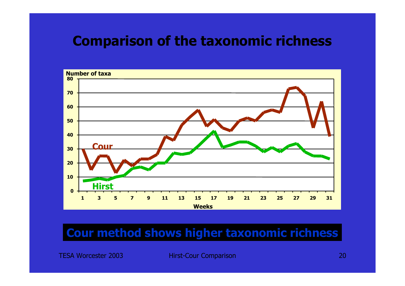## **Comparison of the taxonomic richness**



### **Cour method shows higher taxonomic richness**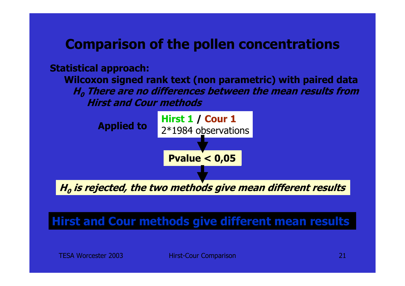## **Comparison of the pollen concentrations**

#### **Statistical approach:**

**Wilcoxon signed rank text (non parametric) with paired data H0 There are no differences between the mean results from Hirst and Cour methods**



### **Hirst and Cour methods give different mean results**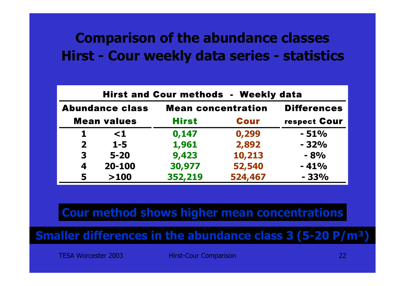## **Comparison of the abundance classes Hirst - Cour weekly data series - statistics**

| <b>Hirst and Cour methods - Weekly data</b> |                    |              |                           |                    |  |
|---------------------------------------------|--------------------|--------------|---------------------------|--------------------|--|
| <b>Abundance class</b>                      |                    |              | <b>Mean concentration</b> | <b>Differences</b> |  |
|                                             | <b>Mean values</b> | <b>Hirst</b> | <b>Cour</b>               | respect Cour       |  |
| 1.                                          | $\leq 1$           | 0,147        | 0,299                     | $-51%$             |  |
| $\overline{2}$                              | $1 - 5$            | 1,961        | 2,892                     | $-32%$             |  |
| 3                                           | $5 - 20$           | 9,423        | 10,213                    | $-8%$              |  |
| 4                                           | 20-100             | 30,977       | 52,540                    | $-41%$             |  |
| 5                                           | >100               | 352,219      | 524,467                   | $-33%$             |  |

### **Cour method shows higher mean concentrations**

### **Smaller differences in the abundance class 3 (5-20 P/m³)**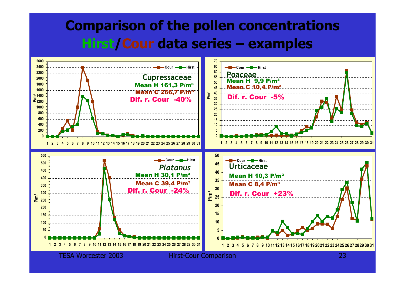## **Comparison of the pollen concentrations Hirst /Cour data series – examples**

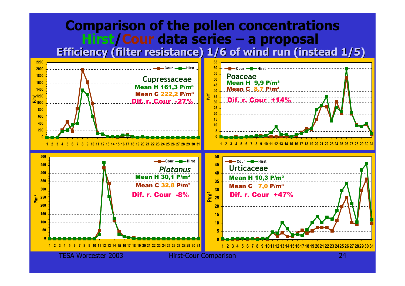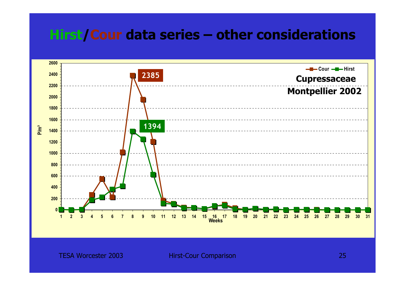## **Hirst /Cour data series – other considerations**

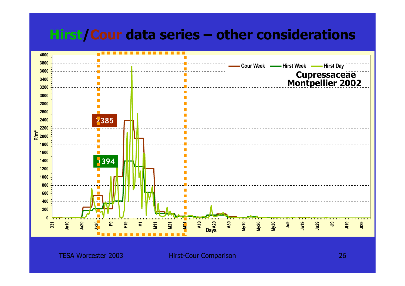## **Hirst /Cour data series – other considerations**

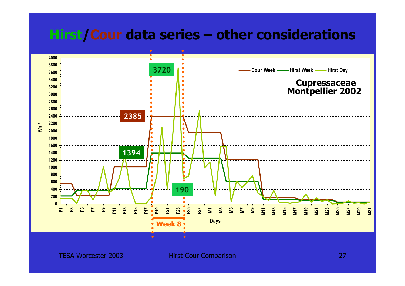## **Hirst /Cour data series – other considerations**